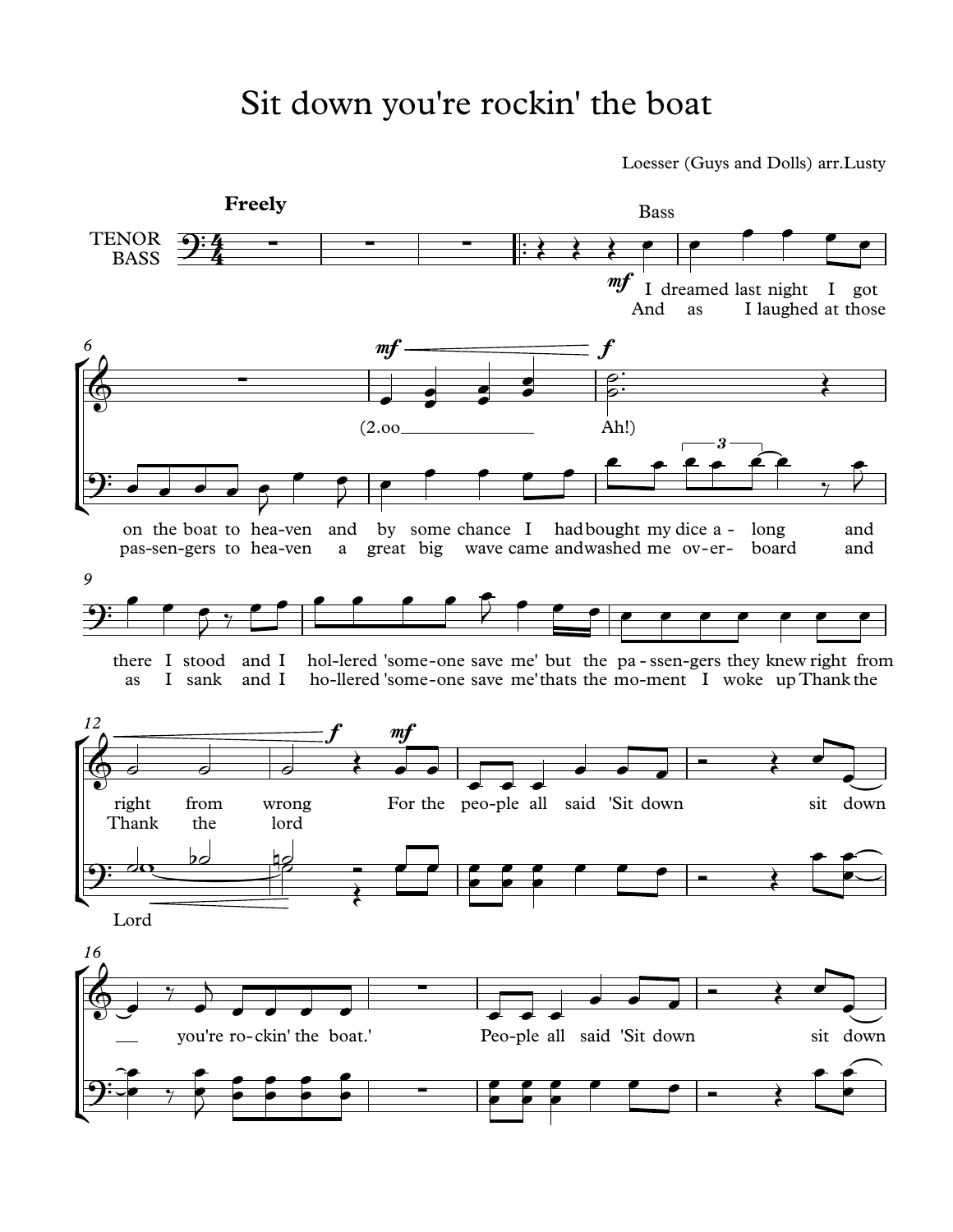## Sit down you're rockin' the boat

Loesser (Guys and Dolls) arr.Lusty

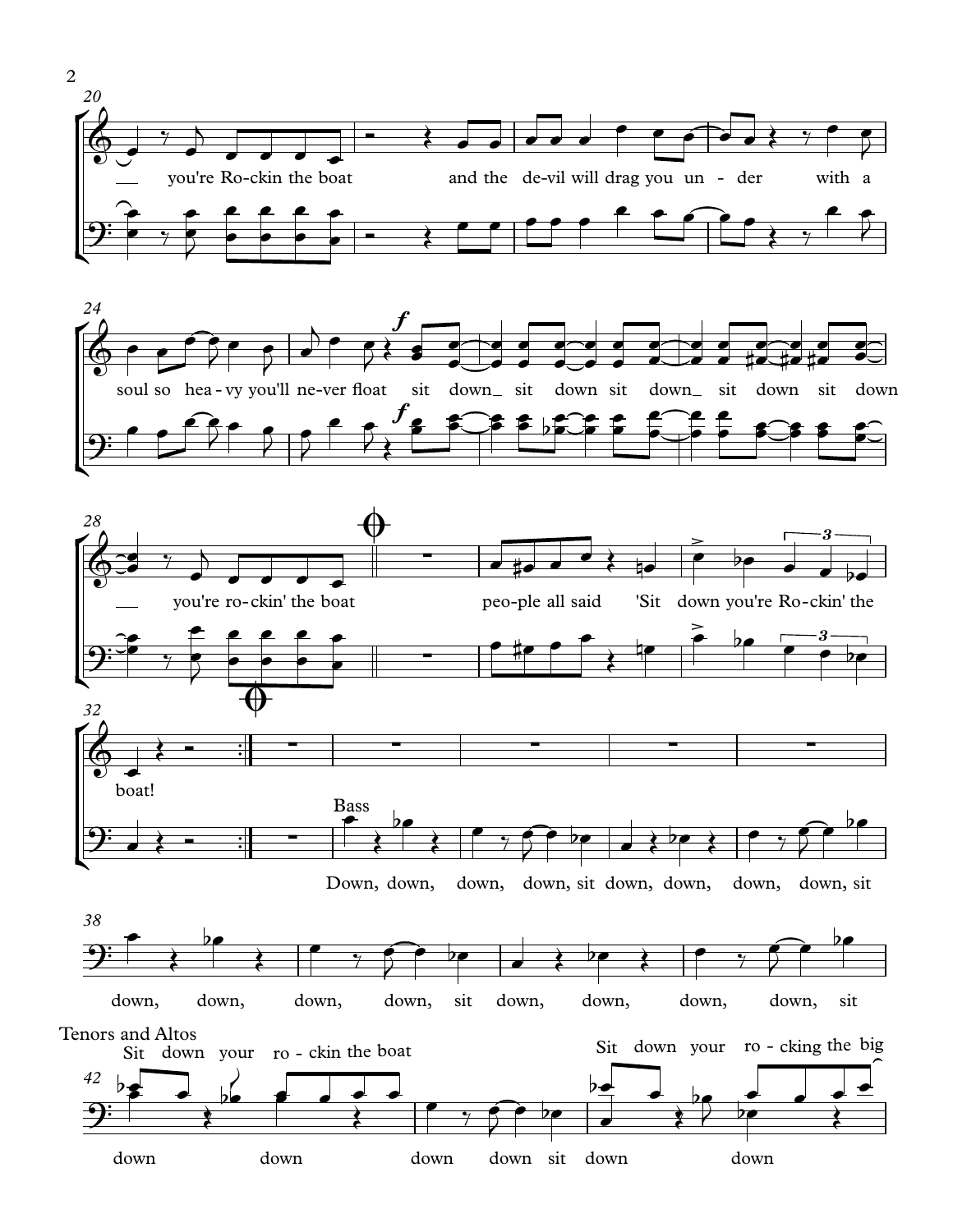



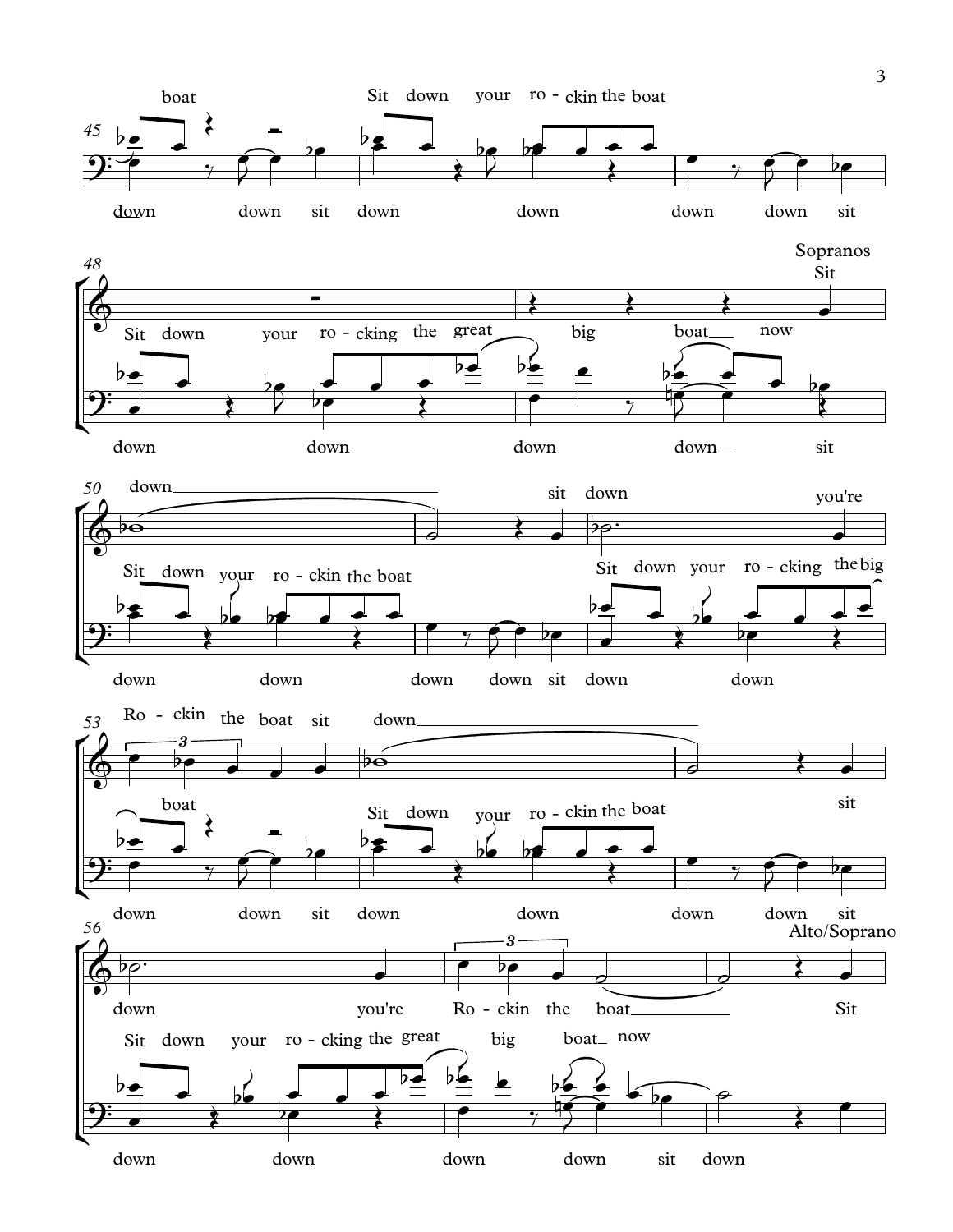